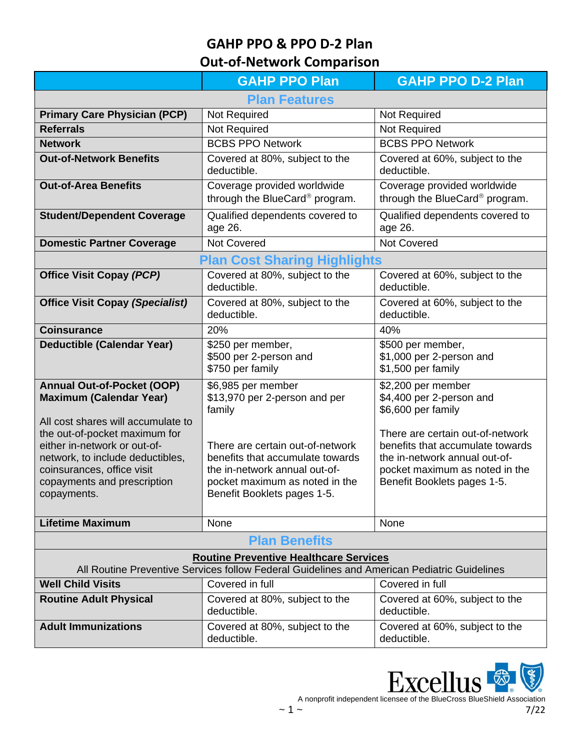**Out-of-Network Comparison** 

|                                                                                                                                                                                                                                                                                            | <b>GAHP PPO Plan</b>                                                                                                                                                                                                                    | <b>GAHP PPO D-2 Plan</b>                                                                                                                                                                                                                       |  |
|--------------------------------------------------------------------------------------------------------------------------------------------------------------------------------------------------------------------------------------------------------------------------------------------|-----------------------------------------------------------------------------------------------------------------------------------------------------------------------------------------------------------------------------------------|------------------------------------------------------------------------------------------------------------------------------------------------------------------------------------------------------------------------------------------------|--|
| <b>Plan Features</b>                                                                                                                                                                                                                                                                       |                                                                                                                                                                                                                                         |                                                                                                                                                                                                                                                |  |
| <b>Primary Care Physician (PCP)</b>                                                                                                                                                                                                                                                        | Not Required                                                                                                                                                                                                                            | Not Required                                                                                                                                                                                                                                   |  |
| <b>Referrals</b>                                                                                                                                                                                                                                                                           | Not Required                                                                                                                                                                                                                            | <b>Not Required</b>                                                                                                                                                                                                                            |  |
| <b>Network</b>                                                                                                                                                                                                                                                                             | <b>BCBS PPO Network</b>                                                                                                                                                                                                                 | <b>BCBS PPO Network</b>                                                                                                                                                                                                                        |  |
| <b>Out-of-Network Benefits</b>                                                                                                                                                                                                                                                             | Covered at 80%, subject to the<br>deductible.                                                                                                                                                                                           | Covered at 60%, subject to the<br>deductible.                                                                                                                                                                                                  |  |
| <b>Out-of-Area Benefits</b>                                                                                                                                                                                                                                                                | Coverage provided worldwide<br>through the BlueCard® program.                                                                                                                                                                           | Coverage provided worldwide<br>through the BlueCard® program.                                                                                                                                                                                  |  |
| <b>Student/Dependent Coverage</b>                                                                                                                                                                                                                                                          | Qualified dependents covered to<br>age 26.                                                                                                                                                                                              | Qualified dependents covered to<br>age 26.                                                                                                                                                                                                     |  |
| <b>Domestic Partner Coverage</b>                                                                                                                                                                                                                                                           | <b>Not Covered</b>                                                                                                                                                                                                                      | <b>Not Covered</b>                                                                                                                                                                                                                             |  |
| <b>Plan Cost Sharing Highlights</b>                                                                                                                                                                                                                                                        |                                                                                                                                                                                                                                         |                                                                                                                                                                                                                                                |  |
| <b>Office Visit Copay (PCP)</b>                                                                                                                                                                                                                                                            | Covered at 80%, subject to the<br>deductible.                                                                                                                                                                                           | Covered at 60%, subject to the<br>deductible.                                                                                                                                                                                                  |  |
| <b>Office Visit Copay (Specialist)</b>                                                                                                                                                                                                                                                     | Covered at 80%, subject to the<br>deductible.                                                                                                                                                                                           | Covered at 60%, subject to the<br>deductible.                                                                                                                                                                                                  |  |
| <b>Coinsurance</b>                                                                                                                                                                                                                                                                         | 20%                                                                                                                                                                                                                                     | 40%                                                                                                                                                                                                                                            |  |
| <b>Deductible (Calendar Year)</b>                                                                                                                                                                                                                                                          | \$250 per member,<br>\$500 per 2-person and<br>\$750 per family                                                                                                                                                                         | \$500 per member,<br>\$1,000 per 2-person and<br>\$1,500 per family                                                                                                                                                                            |  |
| <b>Annual Out-of-Pocket (OOP)</b><br><b>Maximum (Calendar Year)</b><br>All cost shares will accumulate to<br>the out-of-pocket maximum for<br>either in-network or out-of-<br>network, to include deductibles,<br>coinsurances, office visit<br>copayments and prescription<br>copayments. | \$6,985 per member<br>\$13,970 per 2-person and per<br>family<br>There are certain out-of-network<br>benefits that accumulate towards<br>the in-network annual out-of-<br>pocket maximum as noted in the<br>Benefit Booklets pages 1-5. | \$2,200 per member<br>\$4,400 per 2-person and<br>\$6,600 per family<br>There are certain out-of-network<br>benefits that accumulate towards<br>the in-network annual out-of-<br>pocket maximum as noted in the<br>Benefit Booklets pages 1-5. |  |
| <b>Lifetime Maximum</b>                                                                                                                                                                                                                                                                    | None                                                                                                                                                                                                                                    | None                                                                                                                                                                                                                                           |  |
| <b>Plan Benefits</b>                                                                                                                                                                                                                                                                       |                                                                                                                                                                                                                                         |                                                                                                                                                                                                                                                |  |
| <b>Routine Preventive Healthcare Services</b><br>All Routine Preventive Services follow Federal Guidelines and American Pediatric Guidelines                                                                                                                                               |                                                                                                                                                                                                                                         |                                                                                                                                                                                                                                                |  |
| <b>Well Child Visits</b>                                                                                                                                                                                                                                                                   | Covered in full                                                                                                                                                                                                                         | Covered in full                                                                                                                                                                                                                                |  |
| <b>Routine Adult Physical</b>                                                                                                                                                                                                                                                              | Covered at 80%, subject to the<br>deductible.                                                                                                                                                                                           | Covered at 60%, subject to the<br>deductible.                                                                                                                                                                                                  |  |
| <b>Adult Immunizations</b>                                                                                                                                                                                                                                                                 | Covered at 80%, subject to the<br>deductible.                                                                                                                                                                                           | Covered at 60%, subject to the<br>deductible.                                                                                                                                                                                                  |  |



A nonprofit independent licensee of the BlueCross BlueShield Association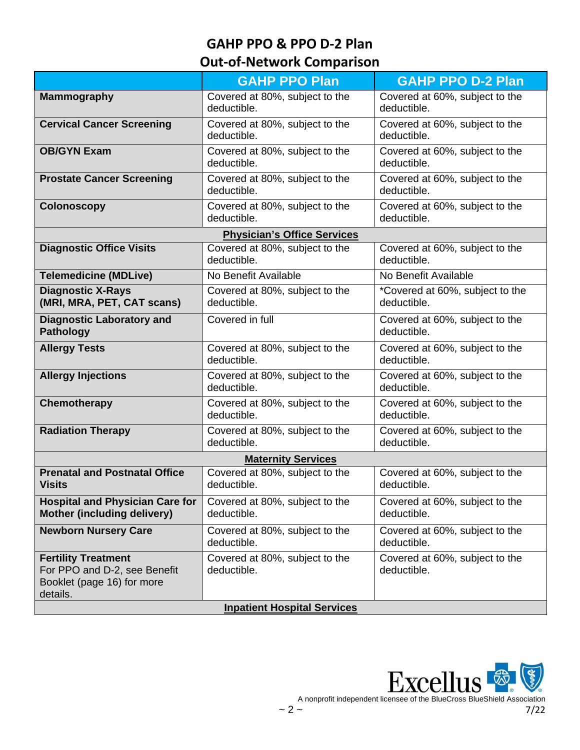# **Out-of-Network Comparison**

|                                                                                                      | <b>GAHP PPO Plan</b>                          | <b>GAHP PPO D-2 Plan</b>                       |  |  |
|------------------------------------------------------------------------------------------------------|-----------------------------------------------|------------------------------------------------|--|--|
| <b>Mammography</b>                                                                                   | Covered at 80%, subject to the<br>deductible. | Covered at 60%, subject to the<br>deductible.  |  |  |
| <b>Cervical Cancer Screening</b>                                                                     | Covered at 80%, subject to the<br>deductible. | Covered at 60%, subject to the<br>deductible.  |  |  |
| <b>OB/GYN Exam</b>                                                                                   | Covered at 80%, subject to the<br>deductible. | Covered at 60%, subject to the<br>deductible.  |  |  |
| <b>Prostate Cancer Screening</b>                                                                     | Covered at 80%, subject to the<br>deductible. | Covered at 60%, subject to the<br>deductible.  |  |  |
| <b>Colonoscopy</b>                                                                                   | Covered at 80%, subject to the<br>deductible. | Covered at 60%, subject to the<br>deductible.  |  |  |
|                                                                                                      | <b>Physician's Office Services</b>            |                                                |  |  |
| <b>Diagnostic Office Visits</b>                                                                      | Covered at 80%, subject to the<br>deductible. | Covered at 60%, subject to the<br>deductible.  |  |  |
| <b>Telemedicine (MDLive)</b>                                                                         | No Benefit Available                          | No Benefit Available                           |  |  |
| <b>Diagnostic X-Rays</b><br>(MRI, MRA, PET, CAT scans)                                               | Covered at 80%, subject to the<br>deductible. | *Covered at 60%, subject to the<br>deductible. |  |  |
| <b>Diagnostic Laboratory and</b><br><b>Pathology</b>                                                 | Covered in full                               | Covered at 60%, subject to the<br>deductible.  |  |  |
| <b>Allergy Tests</b>                                                                                 | Covered at 80%, subject to the<br>deductible. | Covered at 60%, subject to the<br>deductible.  |  |  |
| <b>Allergy Injections</b>                                                                            | Covered at 80%, subject to the<br>deductible. | Covered at 60%, subject to the<br>deductible.  |  |  |
| Chemotherapy                                                                                         | Covered at 80%, subject to the<br>deductible. | Covered at 60%, subject to the<br>deductible.  |  |  |
| <b>Radiation Therapy</b>                                                                             | Covered at 80%, subject to the<br>deductible. | Covered at 60%, subject to the<br>deductible.  |  |  |
| <b>Maternity Services</b>                                                                            |                                               |                                                |  |  |
| <b>Prenatal and Postnatal Office</b><br><b>Visits</b>                                                | Covered at 80%, subject to the<br>deductible. | Covered at 60%, subject to the<br>deductible.  |  |  |
| <b>Hospital and Physician Care for</b><br>Mother (including delivery)                                | Covered at 80%, subject to the<br>deductible. | Covered at 60%, subject to the<br>deductible.  |  |  |
| <b>Newborn Nursery Care</b>                                                                          | Covered at 80%, subject to the<br>deductible. | Covered at 60%, subject to the<br>deductible.  |  |  |
| <b>Fertility Treatment</b><br>For PPO and D-2, see Benefit<br>Booklet (page 16) for more<br>details. | Covered at 80%, subject to the<br>deductible. | Covered at 60%, subject to the<br>deductible.  |  |  |
| <b>Inpatient Hospital Services</b>                                                                   |                                               |                                                |  |  |



A nonprofit independent licensee of the BlueCross BlueShield Association<br>7/22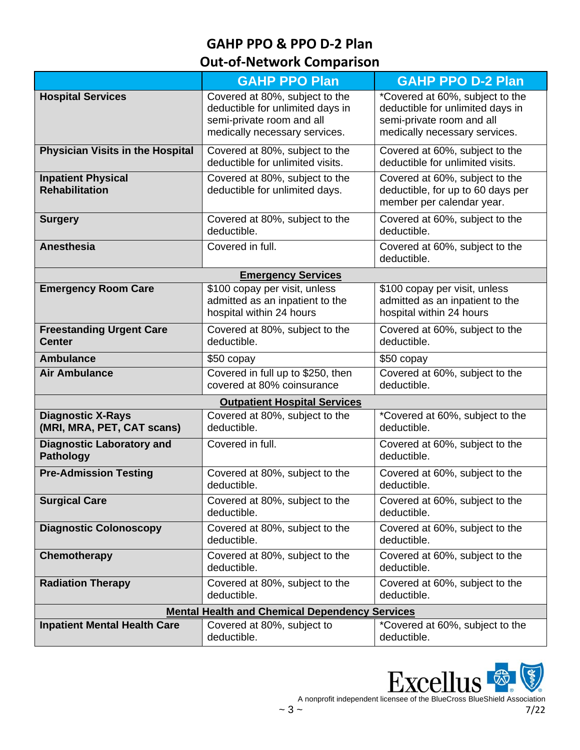# **Out-of-Network Comparison**

|                                                        | <b>GAHP PPO Plan</b>                                                                                                             | <b>GAHP PPO D-2 Plan</b>                                                                                                          |
|--------------------------------------------------------|----------------------------------------------------------------------------------------------------------------------------------|-----------------------------------------------------------------------------------------------------------------------------------|
| <b>Hospital Services</b>                               | Covered at 80%, subject to the<br>deductible for unlimited days in<br>semi-private room and all<br>medically necessary services. | *Covered at 60%, subject to the<br>deductible for unlimited days in<br>semi-private room and all<br>medically necessary services. |
| <b>Physician Visits in the Hospital</b>                | Covered at 80%, subject to the<br>deductible for unlimited visits.                                                               | Covered at 60%, subject to the<br>deductible for unlimited visits.                                                                |
| <b>Inpatient Physical</b><br><b>Rehabilitation</b>     | Covered at 80%, subject to the<br>deductible for unlimited days.                                                                 | Covered at 60%, subject to the<br>deductible, for up to 60 days per<br>member per calendar year.                                  |
| <b>Surgery</b>                                         | Covered at 80%, subject to the<br>deductible.                                                                                    | Covered at 60%, subject to the<br>deductible.                                                                                     |
| <b>Anesthesia</b>                                      | Covered in full.                                                                                                                 | Covered at 60%, subject to the<br>deductible.                                                                                     |
|                                                        | <b>Emergency Services</b>                                                                                                        |                                                                                                                                   |
| <b>Emergency Room Care</b>                             | \$100 copay per visit, unless<br>admitted as an inpatient to the<br>hospital within 24 hours                                     | \$100 copay per visit, unless<br>admitted as an inpatient to the<br>hospital within 24 hours                                      |
| <b>Freestanding Urgent Care</b><br><b>Center</b>       | Covered at 80%, subject to the<br>deductible.                                                                                    | Covered at 60%, subject to the<br>deductible.                                                                                     |
| <b>Ambulance</b>                                       | \$50 copay                                                                                                                       | \$50 copay                                                                                                                        |
| Air Ambulance                                          | Covered in full up to \$250, then<br>covered at 80% coinsurance                                                                  | Covered at 60%, subject to the<br>deductible.                                                                                     |
|                                                        | <b>Outpatient Hospital Services</b>                                                                                              |                                                                                                                                   |
| <b>Diagnostic X-Rays</b><br>(MRI, MRA, PET, CAT scans) | Covered at 80%, subject to the<br>deductible.                                                                                    | *Covered at 60%, subject to the<br>deductible.                                                                                    |
| <b>Diagnostic Laboratory and</b><br><b>Pathology</b>   | Covered in full.                                                                                                                 | Covered at 60%, subject to the<br>deductible.                                                                                     |
| <b>Pre-Admission Testing</b>                           | Covered at 80%, subject to the<br>deductible.                                                                                    | Covered at 60%, subject to the<br>deductible.                                                                                     |
| <b>Surgical Care</b>                                   | Covered at 80%, subject to the<br>deductible.                                                                                    | Covered at 60%, subject to the<br>deductible.                                                                                     |
| <b>Diagnostic Colonoscopy</b>                          | Covered at 80%, subject to the<br>deductible.                                                                                    | Covered at 60%, subject to the<br>deductible.                                                                                     |
| Chemotherapy                                           | Covered at 80%, subject to the<br>deductible.                                                                                    | Covered at 60%, subject to the<br>deductible.                                                                                     |
| <b>Radiation Therapy</b>                               | Covered at 80%, subject to the<br>deductible.                                                                                    | Covered at 60%, subject to the<br>deductible.                                                                                     |
| <b>Mental Health and Chemical Dependency Services</b>  |                                                                                                                                  |                                                                                                                                   |
| <b>Inpatient Mental Health Care</b>                    | Covered at 80%, subject to<br>deductible.                                                                                        | *Covered at 60%, subject to the<br>deductible.                                                                                    |



A nonprofit independent licensee of the BlueCross BlueShield Association  $\sim 3 \sim 7/22$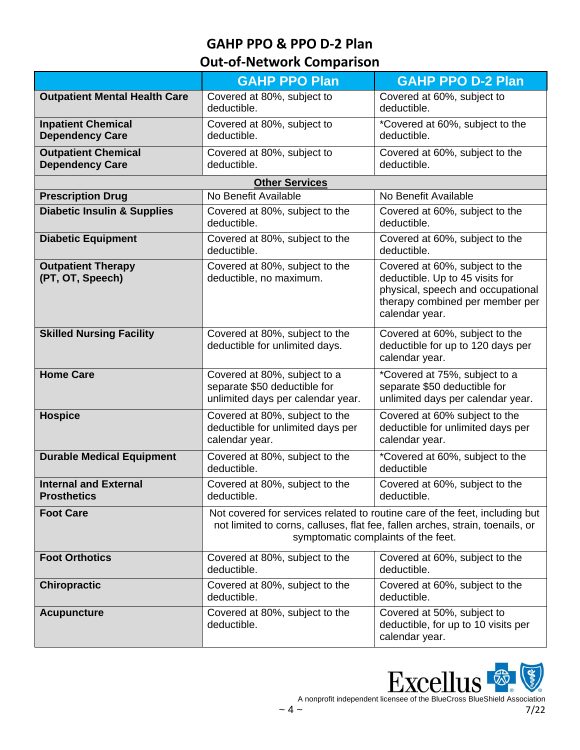# **Out-of-Network Comparison**

|                                                      | <b>GAHP PPO Plan</b>                                                                                                                                                                                | <b>GAHP PPO D-2 Plan</b>                                                                                                                                    |  |  |
|------------------------------------------------------|-----------------------------------------------------------------------------------------------------------------------------------------------------------------------------------------------------|-------------------------------------------------------------------------------------------------------------------------------------------------------------|--|--|
| <b>Outpatient Mental Health Care</b>                 | Covered at 80%, subject to<br>deductible.                                                                                                                                                           | Covered at 60%, subject to<br>deductible.                                                                                                                   |  |  |
| <b>Inpatient Chemical</b><br><b>Dependency Care</b>  | Covered at 80%, subject to<br>deductible.                                                                                                                                                           | *Covered at 60%, subject to the<br>deductible.                                                                                                              |  |  |
| <b>Outpatient Chemical</b><br><b>Dependency Care</b> | Covered at 80%, subject to<br>deductible.                                                                                                                                                           | Covered at 60%, subject to the<br>deductible.                                                                                                               |  |  |
| <b>Other Services</b>                                |                                                                                                                                                                                                     |                                                                                                                                                             |  |  |
| <b>Prescription Drug</b>                             | No Benefit Available                                                                                                                                                                                | No Benefit Available                                                                                                                                        |  |  |
| <b>Diabetic Insulin &amp; Supplies</b>               | Covered at 80%, subject to the<br>deductible.                                                                                                                                                       | Covered at 60%, subject to the<br>deductible.                                                                                                               |  |  |
| <b>Diabetic Equipment</b>                            | Covered at 80%, subject to the<br>deductible.                                                                                                                                                       | Covered at 60%, subject to the<br>deductible.                                                                                                               |  |  |
| <b>Outpatient Therapy</b><br>(PT, OT, Speech)        | Covered at 80%, subject to the<br>deductible, no maximum.                                                                                                                                           | Covered at 60%, subject to the<br>deductible. Up to 45 visits for<br>physical, speech and occupational<br>therapy combined per member per<br>calendar year. |  |  |
| <b>Skilled Nursing Facility</b>                      | Covered at 80%, subject to the<br>deductible for unlimited days.                                                                                                                                    | Covered at 60%, subject to the<br>deductible for up to 120 days per<br>calendar year.                                                                       |  |  |
| <b>Home Care</b>                                     | Covered at 80%, subject to a<br>separate \$50 deductible for<br>unlimited days per calendar year.                                                                                                   | *Covered at 75%, subject to a<br>separate \$50 deductible for<br>unlimited days per calendar year.                                                          |  |  |
| <b>Hospice</b>                                       | Covered at 80%, subject to the<br>deductible for unlimited days per<br>calendar year.                                                                                                               | Covered at 60% subject to the<br>deductible for unlimited days per<br>calendar year.                                                                        |  |  |
| <b>Durable Medical Equipment</b>                     | Covered at 80%, subject to the<br>deductible.                                                                                                                                                       | *Covered at 60%, subject to the<br>deductible                                                                                                               |  |  |
| <b>Internal and External</b><br><b>Prosthetics</b>   | Covered at 80%, subject to the<br>deductible.                                                                                                                                                       | Covered at 60%, subject to the<br>deductible.                                                                                                               |  |  |
| <b>Foot Care</b>                                     | Not covered for services related to routine care of the feet, including but<br>not limited to corns, calluses, flat fee, fallen arches, strain, toenails, or<br>symptomatic complaints of the feet. |                                                                                                                                                             |  |  |
| <b>Foot Orthotics</b>                                | Covered at 80%, subject to the<br>deductible.                                                                                                                                                       | Covered at 60%, subject to the<br>deductible.                                                                                                               |  |  |
| <b>Chiropractic</b>                                  | Covered at 80%, subject to the<br>deductible.                                                                                                                                                       | Covered at 60%, subject to the<br>deductible.                                                                                                               |  |  |
| <b>Acupuncture</b>                                   | Covered at 80%, subject to the<br>deductible.                                                                                                                                                       | Covered at 50%, subject to<br>deductible, for up to 10 visits per<br>calendar year.                                                                         |  |  |



A nonprofit independent licensee of the BlueCross BlueShield Association